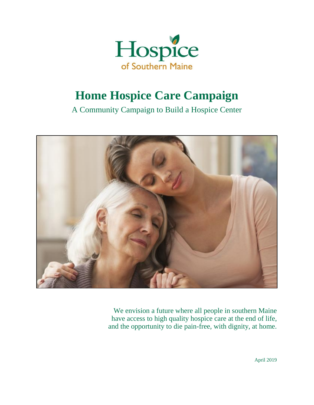

# **Home Hospice Care Campaign**

A Community Campaign to Build a Hospice Center



We envision a future where all people in southern Maine have access to high quality hospice care at the end of life, and the opportunity to die pain-free, with dignity, at home.

April 2019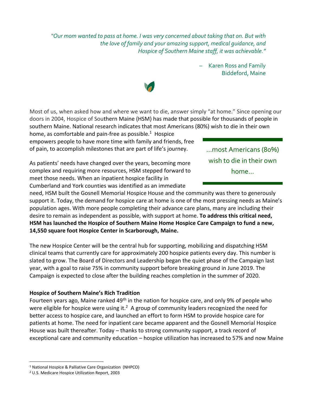*"Our mom wanted to pass at home. I was very concerned about taking that on. But with the love of family and your amazing support, medical guidance, and Hospice of Southern Maine staff, it was achievable."*

> – Karen Ross and Family Biddeford, Maine

Most of us, when asked how and where we want to die, answer simply "at home." Since opening our doors in 2004, Hospice of Southern Maine (HSM) has made that possible for thousands of people in southern Maine. National research indicates that most Americans (80%) wish to die in their own home, as comfortable and pain-free as possible. $1$  Hospice

empowers people to have more time with family and friends, free of pain, to accomplish milestones that are part of life's journey.

As patients' needs have changed over the years, becoming more complex and requiring more resources, HSM stepped forward to meet those needs. When an inpatient hospice facility in Cumberland and York counties was identified as an immediate

need, HSM built the Gosnell Memorial Hospice House and the community was there to generously support it. Today, the demand for hospice care at home is one of the most pressing needs as Maine's population ages. With more people completing their advance care plans, many are including their desire to remain as independent as possible, with support at home. **To address this critical need, HSM has launched the Hospice of Southern Maine Home Hospice Care Campaign to fund a new, 14,550 square foot Hospice Center in Scarborough, Maine.**

The new Hospice Center will be the central hub for supporting, mobilizing and dispatching HSM clinical teams that currently care for approximately 200 hospice patients every day. This number is slated to grow. The Board of Directors and Leadership began the quiet phase of the Campaign last year, with a goal to raise 75% in community support before breaking ground in June 2019. The Campaign is expected to close after the building reaches completion in the summer of 2020.

## **Hospice of Southern Maine's Rich Tradition**

Fourteen years ago, Maine ranked 49<sup>th</sup> in the nation for hospice care, and only 9% of people who were eligible for hospice were using it.<sup>2</sup> A group of community leaders recognized the need for better access to hospice care, and launched an effort to form HSM to provide hospice care for patients at home. The need for inpatient care became apparent and the Gosnell Memorial Hospice House was built thereafter. Today – thanks to strong community support, a track record of exceptional care and community education – hospice utilization has increased to 57% and now Maine

 $\overline{a}$ 

…most Americans (80%) wish to die in their own home…



<sup>1</sup> National Hospice & Palliative Care Organization (NHPCO)

<sup>2</sup> U.S. Medicare Hospice Utilization Report, 2003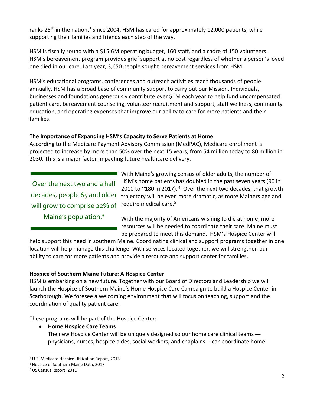ranks 25<sup>th</sup> in the nation.<sup>3</sup> Since 2004, HSM has cared for approximately 12,000 patients, while supporting their families and friends each step of the way.

HSM is fiscally sound with a \$15.6M operating budget, 160 staff, and a cadre of 150 volunteers. HSM's bereavement program provides grief support at no cost regardless of whether a person's loved one died in our care. Last year, 3,650 people sought bereavement services from HSM.

HSM's educational programs, conferences and outreach activities reach thousands of people annually. HSM has a broad base of community support to carry out our Mission. Individuals, businesses and foundations generously contribute over \$1M each year to help fund uncompensated patient care, bereavement counseling, volunteer recruitment and support, staff wellness, community education, and operating expenses that improve our ability to care for more patients and their families.

# **The Importance of Expanding HSM's Capacity to Serve Patients at Home**

According to the Medicare Payment Advisory Commission (MedPAC), Medicare enrollment is projected to increase by more than 50% over the next 15 years, from 54 million today to 80 million in 2030. This is a major factor impacting future healthcare delivery.

Over the next two and a half decades, people 65 and older will grow to comprise 22% of

Maine's population.<sup>5</sup>

With Maine's growing census of older adults, the number of HSM's home patients has doubled in the past seven years (90 in 2010 to  $\sim$ 180 in 2017). <sup>4</sup> Over the next two decades, that growth trajectory will be even more dramatic, as more Mainers age and require medical care.<sup>5</sup>

With the majority of Americans wishing to die at home, more resources will be needed to coordinate their care. Maine must be prepared to meet this demand. HSM's Hospice Center will

help support this need in southern Maine. Coordinating clinical and support programs together in one location will help manage this challenge. With services located together, we will strengthen our ability to care for more patients and provide a resource and support center for families.

## **Hospice of Southern Maine Future: A Hospice Center**

HSM is embarking on a new future. Together with our Board of Directors and Leadership we will launch the Hospice of Southern Maine's Home Hospice Care Campaign to build a Hospice Center in Scarborough. We foresee a welcoming environment that will focus on teaching, support and the coordination of quality patient care.

These programs will be part of the Hospice Center:

## • **Home Hospice Care Teams**

The new Hospice Center will be uniquely designed so our home care clinical teams -- physicians, nurses, hospice aides, social workers, and chaplains -- can coordinate home

 $\overline{a}$ 

<sup>3</sup> U.S. Medicare Hospice Utilization Report, 2013

<sup>4</sup> Hospice of Southern Maine Data, 2017

<sup>5</sup> US Census Report, 2011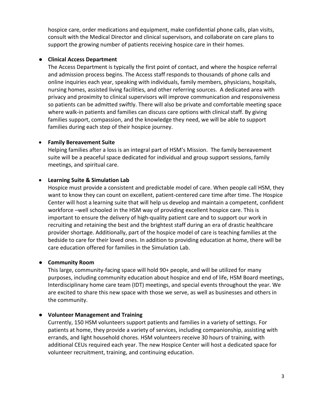hospice care, order medications and equipment, make confidential phone calls, plan visits, consult with the Medical Director and clinical supervisors, and collaborate on care plans to support the growing number of patients receiving hospice care in their homes.

### ● **Clinical Access Department**

The Access Department is typically the first point of contact, and where the hospice referral and admission process begins. The Access staff responds to thousands of phone calls and online inquiries each year, speaking with individuals, family members, physicians, hospitals, nursing homes, assisted living facilities, and other referring sources. A dedicated area with privacy and proximity to clinical supervisors will improve communication and responsiveness so patients can be admitted swiftly. There will also be private and comfortable meeting space where walk-in patients and families can discuss care options with clinical staff. By giving families support, compassion, and the knowledge they need, we will be able to support families during each step of their hospice journey.

## • **Family Bereavement Suite**

Helping families after a loss is an integral part of HSM's Mission. The family bereavement suite will be a peaceful space dedicated for individual and group support sessions, family meetings, and spiritual care.

# • **Learning Suite & Simulation Lab**

Hospice must provide a consistent and predictable model of care. When people call HSM, they want to know they can count on excellent, patient-centered care time after time. The Hospice Center will host a learning suite that will help us develop and maintain a competent, confident workforce –well schooled in the HSM way of providing excellent hospice care. This is important to ensure the delivery of high-quality patient care and to support our work in recruiting and retaining the best and the brightest staff during an era of drastic healthcare provider shortage. Additionally, part of the hospice model of care is teaching families at the bedside to care for their loved ones. In addition to providing education at home, there will be care education offered for families in the Simulation Lab.

## ● **Community Room**

This large, community-facing space will hold 90+ people, and will be utilized for many purposes, including community education about hospice and end of life, HSM Board meetings, Interdisciplinary home care team (IDT) meetings, and special events throughout the year. We are excited to share this new space with those we serve, as well as businesses and others in the community.

## ● **Volunteer Management and Training**

Currently, 150 HSM volunteers support patients and families in a variety of settings. For patients at home, they provide a variety of services, including companionship, assisting with errands, and light household chores. HSM volunteers receive 30 hours of training, with additional CEUs required each year. The new Hospice Center will host a dedicated space for volunteer recruitment, training, and continuing education.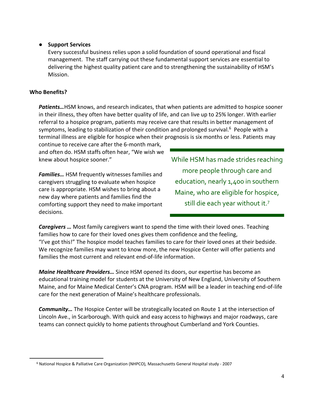## ● **Support Services**

Every successful business relies upon a solid foundation of sound operational and fiscal management. The staff carrying out these fundamental support services are essential to delivering the highest quality patient care and to strengthening the sustainability of HSM's Mission.

## **Who Benefits?**

 $\ddot{\phantom{a}}$ 

*Patients…*HSM knows, and research indicates, that when patients are admitted to hospice sooner in their illness, they often have better quality of life, and can live up to 25% longer. With earlier referral to a hospice program, patients may receive care that results in better management of symptoms, leading to stabilization of their condition and prolonged survival.<sup>6</sup> People with a terminal illness are eligible for hospice when their prognosis is six months or less. Patients may

continue to receive care after the 6-month mark, and often do. HSM staffs often hear, "We wish we knew about hospice sooner."

*Families…* HSM frequently witnesses families and caregivers struggling to evaluate when hospice care is appropriate. HSM wishes to bring about a new day where patients and families find the comforting support they need to make important decisions.

While HSM has made strides reaching more people through care and education, nearly 1,400 in southern Maine, who are eligible for hospice, still die each year without it.7

*Caregivers …* Most family caregivers want to spend the time with their loved ones. Teaching families how to care for their loved ones gives them confidence and the feeling, "I've got this!" The hospice model teaches families to care for their loved ones at their bedside. We recognize families may want to know more, the new Hospice Center will offer patients and families the most current and relevant end-of-life information.

*Maine Healthcare Providers…* Since HSM opened its doors, our expertise has become an educational training model for students at the University of New England, University of Southern Maine, and for Maine Medical Center's CNA program. HSM will be a leader in teaching end-of-life care for the next generation of Maine's healthcare professionals.

*Community…* The Hospice Center will be strategically located on Route 1 at the intersection of Lincoln Ave., in Scarborough. With quick and easy access to highways and major roadways, care teams can connect quickly to home patients throughout Cumberland and York Counties.

<sup>6</sup> National Hospice & Palliative Care Organization (NHPCO)*,* Massachusetts General Hospital study - 2007